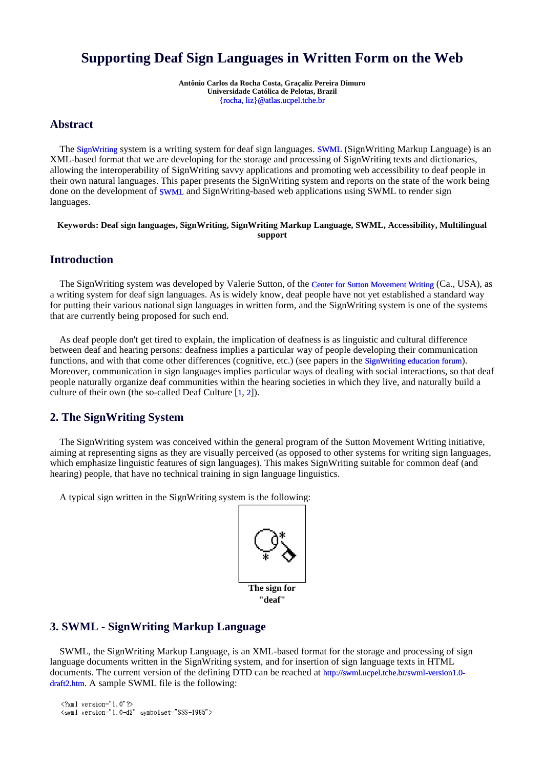# **Supporting Deaf Sign Languages in Written Form on the Web**

**Antônio Carlos da Rocha Costa, Graçaliz Pereira Dimuro Universidade Católica de Pelotas, Brazil** {rocha, liz}@atlas.ucpel.tche.br

# **Abstract**

The SignWriting system is a writing system for deaf sign languages. SWML (SignWriting Markup Language) is an XML-based format that we are developing for the storage and processing of SignWriting texts and dictionaries, allowing the interoperability of SignWriting savvy applications and promoting web accessibility to deaf people in their own natural languages. This paper presents the SignWriting system and reports on the state of the work being done on the development of SWML and SignWriting-based web applications using SWML to render sign languages.

**Keywords: Deaf sign languages, SignWriting, SignWriting Markup Language, SWML, Accessibility, Multilingual support**

# **Introduction**

The SignWriting system was developed by Valerie Sutton, of the Center for Sutton Movement Writing (Ca., USA), as a writing system for deaf sign languages. As is widely know, deaf people have not yet established a standard way for putting their various national sign languages in written form, and the SignWriting system is one of the systems that are currently being proposed for such end.

As deaf people don't get tired to explain, the implication of deafness is as linguistic and cultural difference between deaf and hearing persons: deafness implies a particular way of people developing their communication functions, and with that come other differences (cognitive, etc.) (see papers in the SignWriting education forum). Moreover, communication in sign languages implies particular ways of dealing with social interactions, so that deaf people naturally organize deaf communities within the hearing societies in which they live, and naturally build a culture of their own (the so-called Deaf Culture [1, 2]).

### **2. The SignWriting System**

The SignWriting system was conceived within the general program of the Sutton Movement Writing initiative, aiming at representing signs as they are visually perceived (as opposed to other systems for writing sign languages, which emphasize linguistic features of sign languages). This makes SignWriting suitable for common deaf (and hearing) people, that have no technical training in sign language linguistics.

A typical sign written in the SignWriting system is the following:



# **3. SWML - SignWriting Markup Language**

SWML, the SignWriting Markup Language, is an XML-based format for the storage and processing of sign language documents written in the SignWriting system, and for insertion of sign language texts in HTML documents. The current version of the defining DTD can be reached at http://swml.ucpel.tche.br/swml-version1.0 draft2.htm. A sample SWML file is the following:

```
 -

 

\lambda i \lambda in \lambda in \lambda in \lambda in \lambda in \lambda in \lambda in \lambda in \lambda in \lambda in \lambda in \lambda
```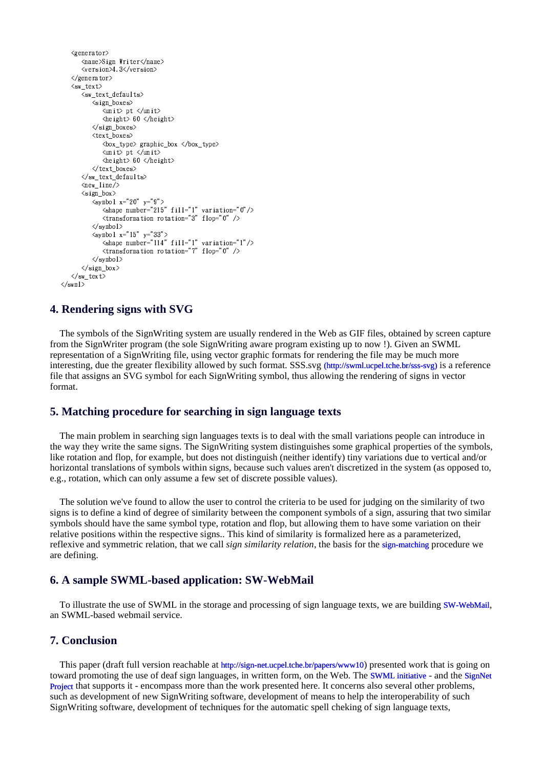```
<generator>
         <name>Sign Writer</name>
         \langle version \rangle 4.3\langle /version \rangle\langle/generator>
    \langle sw\_text \rangle\langlesw_text_defaults>
              <sign_boxes>
                  \langle \text{unit} \rangle pt \langle \text{unit} \rangle\langleheight> 60 \langle/height>
              \langle/sign boxes>
              <text boxes>
                  <br/>box_type> graphic_box </box_type>
                  \langle \text{unit} \rangle pt \langle \text{unit} \rangle\langleheight> 60 \langle/height>
              </text_boxes>
         \langle/sw text defaults>
         \langlenew_line/>
         \langlesign_box>
              \langlesymbol x="20" y="9"<shape number="215" fill="1" variation="0"/><br>
<transformation rotation="3" flop="0" />
              \langle/svmbol>
              \langlesymbol x="15" y="33">
                  \langleshape number="114" fill="1" variation="1"/>
                  \langletransformation rotation="7" flop="0" />
              \langle/svmbol>
        \langle/sign_box>
    \langle/sw_text>
\langle/swml>
```
### 4. Rendering signs with SVG

The symbols of the SignWriting system are usually rendered in the Web as GIF files, obtained by screen capture from the SignWriter program (the sole SignWriting aware program existing up to now !). Given an SWML representation of a SignWriting file, using vector graphic formats for rendering the file may be much more interesting, due the greater flexibility allowed by such format. SSS.svg (http://swml.ucpel.tche.br/sss-svg) is a reference file that assigns an SVG symbol for each SignWriting symbol, thus allowing the rendering of signs in vector format

#### 5. Matching procedure for searching in sign language texts

The main problem in searching sign languages texts is to deal with the small variations people can introduce in the way they write the same signs. The SignWriting system distinguishes some graphical properties of the symbols, like rotation and flop, for example, but does not distinguish (neither identify) tiny variations due to vertical and/or horizontal translations of symbols within signs, because such values aren't discretized in the system (as opposed to, e.g., rotation, which can only assume a few set of discrete possible values).

The solution we've found to allow the user to control the criteria to be used for judging on the similarity of two signs is to define a kind of degree of similarity between the component symbols of a sign, assuring that two similar symbols should have the same symbol type, rotation and flop, but allowing them to have some variation on their relative positions within the respective signs.. This kind of similarity is formalized here as a parameterized, reflexive and symmetric relation, that we call *sign similarity relation*, the basis for the sign-matching procedure we are defining.

### 6. A sample SWML-based application: SW-WebMail

To illustrate the use of SWML in the storage and processing of sign language texts, we are building SW-WebMail, an SWML-based webmail service.

### **7. Conclusion**

This paper (draft full version reachable at http://sign-net.ucpel.tche.br/papers/www10) presented work that is going on toward promoting the use of deaf sign languages, in written form, on the Web. The SWML initiative - and the SignNet Project that supports it - encompass more than the work presented here. It concerns also several other problems, such as development of new SignWriting software, development of means to help the interoperability of such SignWriting software, development of techniques for the automatic spell cheking of sign language texts,